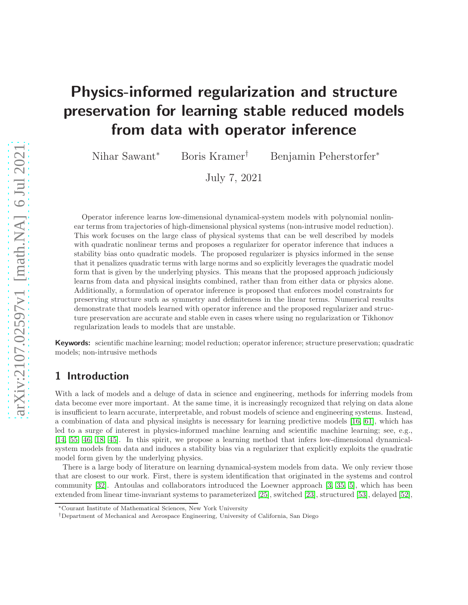# Physics-informed regularization and structure preservation for learning stable reduced models from data with operator inference

Nihar Sawant<sup>∗</sup> Boris Kramer† Benjamin Peherstorfer<sup>∗</sup>

July 7, 2021

Operator inference learns low-dimensional dynamical-system models with polynomial nonlinear terms from trajectories of high-dimensional physical systems (non-intrusive model reduction). This work focuses on the large class of physical systems that can be well described by models with quadratic nonlinear terms and proposes a regularizer for operator inference that induces a stability bias onto quadratic models. The proposed regularizer is physics informed in the sense that it penalizes quadratic terms with large norms and so explicitly leverages the quadratic model form that is given by the underlying physics. This means that the proposed approach judiciously learns from data and physical insights combined, rather than from either data or physics alone. Additionally, a formulation of operator inference is proposed that enforces model constraints for preserving structure such as symmetry and definiteness in the linear terms. Numerical results demonstrate that models learned with operator inference and the proposed regularizer and structure preservation are accurate and stable even in cases where using no regularization or Tikhonov regularization leads to models that are unstable.

Keywords: scientific machine learning; model reduction; operator inference; structure preservation; quadratic models; non-intrusive methods

## 1 Introduction

With a lack of models and a deluge of data in science and engineering, methods for inferring models from data become ever more important. At the same time, it is increasingly recognized that relying on data alone is insufficient to learn accurate, interpretable, and robust models of science and engineering systems. Instead, a combination of data and physical insights is necessary for learning predictive models [16, [61\]](#page-20-0), which has led to a surge of interest in physics-informed machine learning and scientific machine learning; see, e.g., [\[14,](#page-17-0) [55,](#page-19-0) [46,](#page-19-1) 18, [45\]](#page-19-2). In this spirit, we propose a learning method that infers low-dimensional dynamicalsystem models from data and induces a stability bias via a regularizer that explicitly exploits the quadratic model form given by the underlying physics.

There is a large body of literature on learning dynamical-system models from data. We only review those that are closest to our work. First, there is system identification that originated in the systems and control community [\[32\]](#page-18-0). Antoulas and collaborators introduced the Loewner approach [\[3,](#page-16-0) [35,](#page-18-1) [5\]](#page-17-1), which has been extended from linear time-invariant systems to parameterized [\[25\]](#page-18-2), switched [23], structured [\[53\]](#page-19-3), delayed [\[52\]](#page-19-4),

<sup>∗</sup>Courant Institute of Mathematical Sciences, New York University

<sup>†</sup>Department of Mechanical and Aerospace Engineering, University of California, San Diego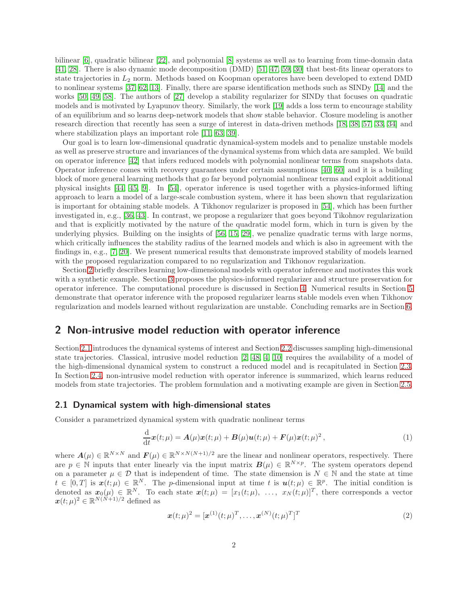bilinear [\[6\]](#page-17-2), quadratic bilinear [\[22\]](#page-17-3), and polynomial [8] systems as well as to learning from time-domain data [\[41,](#page-19-5) [28\]](#page-18-3). There is also dynamic mode decomposition (DMD) [\[51,](#page-19-6) [47,](#page-19-7) [59,](#page-20-1) [30\]](#page-18-4) that best-fits linear operators to state trajectories in  $L_2$  norm. Methods based on Koopman operatores have been developed to extend DMD to nonlinear systems [\[37,](#page-18-5) [62,](#page-20-2) [13\]](#page-17-4). Finally, there are sparse identification methods such as SINDy [\[14\]](#page-17-0) and the works [\[50,](#page-19-8) 49, 58]. The authors of [\[27\]](#page-18-6) develop a stability regularizer for SINDy that focuses on quadratic models and is motivated by Lyapunov theory. Similarly, the work [\[19\]](#page-17-5) adds a loss term to encourage stability of an equilibrium and so learns deep-network models that show stable behavior. Closure modeling is another research direction that recently has seen a surge of interest in data-driven methods [18, 38, 57, [33,](#page-18-7) [34\]](#page-18-8) and where stabilization plays an important role [\[11,](#page-17-6) 63, 39].

Our goal is to learn low-dimensional quadratic dynamical-system models and to penalize unstable models as well as preserve structure and invariances of the dynamical systems from which data are sampled. We build on operator inference [\[42\]](#page-19-9) that infers reduced models with polynomial nonlinear terms from snapshots data. Operator inference comes with recovery guarantees under certain assumptions [\[40,](#page-18-9) [60\]](#page-20-3) and it is a building block of more general learning methods that go far beyond polynomial nonlinear terms and exploit additional physical insights [\[44,](#page-19-10) [45,](#page-19-2) [9\]](#page-17-7). In [54], operator inference is used together with a physics-informed lifting approach to learn a model of a large-scale combustion system, where it has been shown that regularization is important for obtaining stable models. A Tikhonov regularizer is proposed in [54], which has been further investigated in, e.g., [\[36,](#page-18-10) [43\]](#page-19-11). In contrast, we propose a regularizer that goes beyond Tikohnov regularization and that is explicitly motivated by the nature of the quadratic model form, which in turn is given by the underlying physics. Building on the insights of [\[56,](#page-19-12) [15,](#page-17-8) [29\]](#page-18-11), we penalize quadratic terms with large norms, which critically influences the stability radius of the learned models and which is also in agreement with the findings in, e.g., [\[7,](#page-17-9) [20\]](#page-17-10). We present numerical results that demonstrate improved stability of models learned with the proposed regularization compared to no regularization and Tikhonov regularization.

Section [2](#page-1-0) briefly describes learning low-dimensional models with operator inference and motivates this work with a synthetic example. Section [3](#page-4-0) proposes the physics-informed regularizer and structure preservation for operator inference. The computational procedure is discussed in Section [4.](#page-7-0) Numerical results in Section [5](#page-8-0) demonstrate that operator inference with the proposed regularizer learns stable models even when Tikhonov regularization and models learned without regularization are unstable. Concluding remarks are in Section [6.](#page-16-1)

## <span id="page-1-0"></span>2 Non-intrusive model reduction with operator inference

Section [2.1](#page-1-1) introduces the dynamical systems of interest and Section [2.2](#page-2-0) discusses sampling high-dimensional state trajectories. Classical, intrusive model reduction [\[2,](#page-16-2) [48,](#page-19-13) [4,](#page-16-3) [10\]](#page-17-11) requires the availability of a model of the high-dimensional dynamical system to construct a reduced model and is recapitulated in Section [2.3.](#page-2-1) In Section [2.4,](#page-2-2) non-intrusive model reduction with operator inference is summarized, which learns reduced models from state trajectories. The problem formulation and a motivating example are given in Section [2.5.](#page-3-0)

#### <span id="page-1-1"></span>2.1 Dynamical system with high-dimensional states

Consider a parametrized dynamical system with quadratic nonlinear terms

<span id="page-1-2"></span>
$$
\frac{\mathrm{d}}{\mathrm{d}t}\boldsymbol{x}(t;\mu) = \boldsymbol{A}(\mu)\boldsymbol{x}(t;\mu) + \boldsymbol{B}(\mu)\boldsymbol{u}(t;\mu) + \boldsymbol{F}(\mu)\boldsymbol{x}(t;\mu)^2, \qquad (1)
$$

where  $A(\mu) \in \mathbb{R}^{N \times N}$  and  $F(\mu) \in \mathbb{R}^{N \times N(N+1)/2}$  are the linear and nonlinear operators, respectively. There are  $p \in \mathbb{N}$  inputs that enter linearly via the input matrix  $\mathbf{B}(\mu) \in \mathbb{R}^{N \times p}$ . The system operators depend on a parameter  $\mu \in \mathcal{D}$  that is independent of time. The state dimension is  $N \in \mathbb{N}$  and the state at time  $t \in [0,T]$  is  $\mathbf{x}(t;\mu) \in \mathbb{R}^N$ . The p-dimensional input at time t is  $\mathbf{u}(t;\mu) \in \mathbb{R}^p$ . The initial condition is denoted as  $x_0(\mu) \in \mathbb{R}^N$ . To each state  $x(t;\mu) = [x_1(t;\mu), \ldots, x_N(t;\mu)]^T$ , there corresponds a vector  $\boldsymbol{x}(t; \mu)^2 \in \mathbb{R}^{N(N+1)/2}$  defined as

<span id="page-1-3"></span>
$$
\boldsymbol{x}(t; \mu)^2 = [\boldsymbol{x}^{(1)}(t; \mu)^T, \dots, \boldsymbol{x}^{(N)}(t; \mu)^T]^T
$$
\n(2)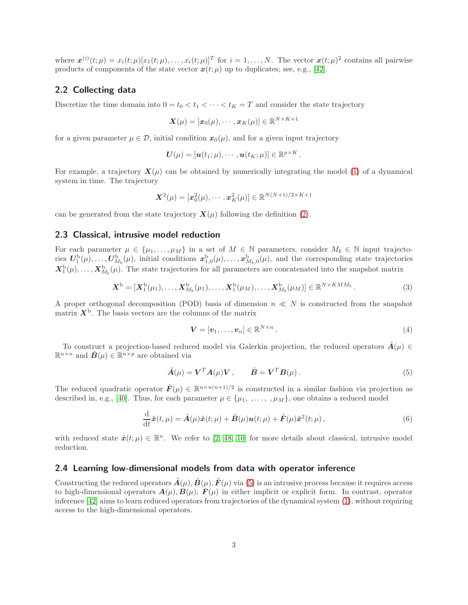where  $\mathbf{x}^{(i)}(t;\mu) = x_i(t;\mu)[x_1(t;\mu), \ldots, x_i(t;\mu)]^T$  for  $i = 1, \ldots, N$ . The vector  $\mathbf{x}(t;\mu)^2$  contains all pairwise products of components of the state vector  $x(t; \mu)$  up to duplicates; see, e.g., [\[42\]](#page-19-9).

#### <span id="page-2-0"></span>2.2 Collecting data

Discretize the time domain into  $0 = t_0 < t_1 < \cdots < t_K = T$  and consider the state trajectory

$$
\bm{X}(\mu)=[\bm{x}_0(\mu),\cdots,\bm{x}_K(\mu)]\in\mathbb{R}^{N\times K+1}
$$

for a given parameter  $\mu \in \mathcal{D}$ , initial condition  $x_0(\mu)$ , and for a given input trajectory

$$
\boldsymbol{U}(\mu)=[\boldsymbol{u}(t_1;\mu),\cdots,\boldsymbol{u}(t_K;\mu)]\in\mathbb{R}^{p\times K}.
$$

For example, a trajectory  $\mathbf{X}(\mu)$  can be obtained by numerically integrating the model [\(1\)](#page-1-2) of a dynamical system in time. The trajectory

$$
\boldsymbol{X}^2(\mu) = [\boldsymbol{x}_0^2(\mu),\cdots,\boldsymbol{x}_K^2(\mu)] \in \mathbb{R}^{N(N+1)/2 \times K+1}
$$

can be generated from the state trajectory  $\mathbf{X}(\mu)$  following the definition [\(2\)](#page-1-3).

#### <span id="page-2-1"></span>2.3 Classical, intrusive model reduction

For each parameter  $\mu \in {\mu_1, \ldots, \mu_M}$  in a set of  $M \in \mathbb{N}$  parameters, consider  $M_b \in \mathbb{N}$  input trajectories  $U_1^{\rm b}(\mu), \ldots, U_{M_b}^{\rm b}(\mu)$ , initial conditions  $x_{1,0}^{\rm b}(\mu), \ldots, x_{M_b,0}^{\rm b}(\mu)$ , and the corresponding state trajectories  $X_1^b(\mu), \ldots, X_{M_b}^b(\mu)$ . The state trajectories for all parameters are concatenated into the snapshot matrix

$$
\mathbf{X}^{\mathrm{b}} = [\mathbf{X}_1^{\mathrm{b}}(\mu_1), \dots, \mathbf{X}_{M_b}^{\mathrm{b}}(\mu_1), \dots, \mathbf{X}_1^{\mathrm{b}}(\mu_M), \dots, \mathbf{X}_{M_b}^{\mathrm{b}}(\mu_M)] \in \mathbb{R}^{N \times KMM_b}.
$$
\n(3)

A proper orthogonal decomposition (POD) basis of dimension  $n \ll N$  is constructed from the snapshot matrix  $X^{\mathrm{b}}$ . The basis vectors are the columns of the matrix

<span id="page-2-5"></span><span id="page-2-4"></span><span id="page-2-3"></span>
$$
\mathbf{V} = [\mathbf{v}_1, \dots, \mathbf{v}_n] \in \mathbb{R}^{N \times n} \,.
$$

To construct a projection-based reduced model via Galerkin projection, the reduced operators  $\tilde{A}(\mu) \in$  $\mathbb{R}^{n \times n}$  and  $\tilde{B}(\mu) \in \mathbb{R}^{n \times p}$  are obtained via

$$
\tilde{A}(\mu) = \mathbf{V}^T A(\mu) \mathbf{V}, \qquad \tilde{\mathbf{B}} = \mathbf{V}^T \mathbf{B}(\mu). \tag{5}
$$

The reduced quadratic operator  $\tilde{F}(\mu) \in \mathbb{R}^{n \times n(n+1)/2}$  is constructed in a similar fashion via projection as described in, e.g., [\[40\]](#page-18-9). Thus, for each parameter  $\mu \in {\{\mu_1, \ldots, \mu_M\}}$ , one obtains a reduced model

$$
\frac{\mathrm{d}}{\mathrm{d}t}\tilde{\boldsymbol{x}}(t,\mu) = \tilde{\boldsymbol{A}}(\mu)\tilde{\boldsymbol{x}}(t;\mu) + \tilde{\boldsymbol{B}}(\mu)\boldsymbol{u}(t;\mu) + \tilde{\boldsymbol{F}}(\mu)\tilde{\boldsymbol{x}}^2(t;\mu)\,,\tag{6}
$$

with reduced state  $\tilde{\boldsymbol{x}}(t; \mu) \in \mathbb{R}^n$ . We refer to [\[2,](#page-16-2) [48,](#page-19-13) [10\]](#page-17-11) for more details about classical, intrusive model reduction.

#### <span id="page-2-2"></span>2.4 Learning low-dimensional models from data with operator inference

Constructing the reduced operators  $\tilde{A}(\mu)$ ,  $\tilde{B}(\mu)$ ,  $\tilde{F}(\mu)$  via [\(5\)](#page-2-3) is an intrusive process because it requires access to high-dimensional operators  $A(\mu)$ ,  $B(\mu)$ ,  $F(\mu)$  in either implicit or explicit form. In contrast, operator inference [\[42\]](#page-19-9) aims to learn reduced operators from trajectories of the dynamical system [\(1\)](#page-1-2), without requiring access to the high-dimensional operators.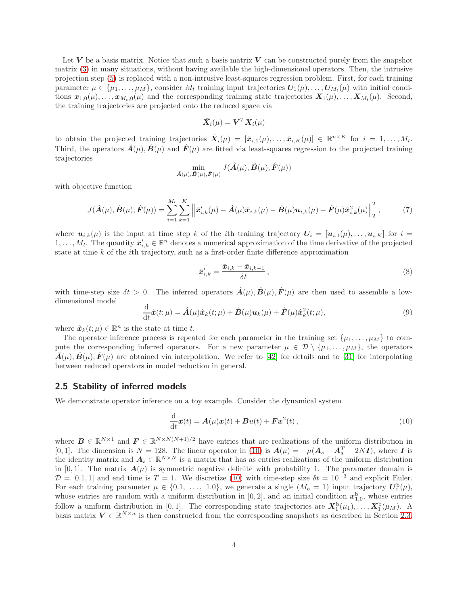Let V be a basis matrix. Notice that such a basis matrix V can be constructed purely from the snapshot matrix [\(3\)](#page-2-4) in many situations, without having available the high-dimensional operators. Then, the intrusive projection step [\(5\)](#page-2-3) is replaced with a non-intrusive least-squares regression problem. First, for each training parameter  $\mu \in \{\mu_1, \ldots, \mu_M\}$ , consider  $M_t$  training input trajectories  $U_1(\mu), \ldots, U_{M_t}(\mu)$  with initial conditions  $x_{1,0}(\mu), \ldots, x_{M_t,0}(\mu)$  and the corresponding training state trajectories  $X_1(\mu), \ldots, X_{M_t}(\mu)$ . Second, the training trajectories are projected onto the reduced space via

$$
\bar{\boldsymbol{X}}_i(\mu) = \boldsymbol{V}^T\boldsymbol{X}_i(\mu)
$$

to obtain the projected training trajectories  $\bar{\mathbf{X}}_i(\mu) = [\bar{x}_{i,1}(\mu), \ldots, \bar{x}_{i,K}(\mu)] \in \mathbb{R}^{n \times K}$  for  $i = 1, \ldots, M_t$ . Third, the operators  $\vec{A}(\mu)$ ,  $\vec{B}(\mu)$  and  $\vec{F}(\mu)$  are fitted via least-squares regression to the projected training trajectories

<span id="page-3-4"></span>
$$
\min_{\hat{\boldsymbol{A}}(\mu),\hat{\boldsymbol{B}}(\mu),\hat{\boldsymbol{F}}(\mu)} J(\hat{\boldsymbol{A}}(\mu),\hat{\boldsymbol{B}}(\mu),\hat{\boldsymbol{F}}(\mu))
$$

with objective function

$$
J(\hat{A}(\mu), \hat{B}(\mu), \hat{F}(\mu)) = \sum_{i=1}^{M_t} \sum_{k=1}^{K} \left\| \bar{x}_{i,k}'(\mu) - \hat{A}(\mu)\bar{x}_{i,k}(\mu) - \hat{B}(\mu)u_{i,k}(\mu) - \hat{F}(\mu)\bar{x}_{i,k}^2(\mu) \right\|_2^2, \tag{7}
$$

where  $u_{i,k}(\mu)$  is the input at time step k of the ith training trajectory  $U_i = [u_{i,1}(\mu), \ldots, u_{i,K}]$  for  $i =$  $1,\ldots,M_t$ . The quantity  $\bar{x}'_{i,k}\in\mathbb{R}^n$  denotes a numerical approximation of the time derivative of the projected state at time  $k$  of the *i*th trajectory, such as a first-order finite difference approximation

<span id="page-3-2"></span>
$$
\bar{x}'_{i,k} = \frac{\bar{x}_{i,k} - \bar{x}_{i,k-1}}{\delta t},\tag{8}
$$

with time-step size  $\delta t > 0$ . The inferred operators  $\hat{A}(\mu), \hat{B}(\mu), \hat{F}(\mu)$  are then used to assemble a lowdimensional model

<span id="page-3-3"></span>
$$
\frac{\mathrm{d}}{\mathrm{d}t}\hat{\boldsymbol{x}}(t;\mu) = \hat{\boldsymbol{A}}(\mu)\hat{\boldsymbol{x}}_k(t;\mu) + \hat{\boldsymbol{B}}(\mu)\boldsymbol{u}_k(\mu) + \hat{\boldsymbol{F}}(\mu)\hat{\boldsymbol{x}}_k^2(t;\mu),\tag{9}
$$

where  $\hat{\boldsymbol{x}}_k(t; \mu) \in \mathbb{R}^n$  is the state at time t.

The operator inference process is repeated for each parameter in the training set  $\{\mu_1, \ldots, \mu_M\}$  to compute the corresponding inferred operators. For a new parameter  $\mu \in \mathcal{D} \setminus \{\mu_1, \ldots, \mu_M\}$ , the operators  $\vec{A}(\mu), \vec{B}(\mu), \vec{F}(\mu)$  are obtained via interpolation. We refer to [\[42\]](#page-19-9) for details and to [\[31\]](#page-18-12) for interpolating between reduced operators in model reduction in general.

#### <span id="page-3-0"></span>2.5 Stability of inferred models

We demonstrate operator inference on a toy example. Consider the dynamical system

<span id="page-3-1"></span>
$$
\frac{\mathrm{d}}{\mathrm{d}t}\boldsymbol{x}(t) = \boldsymbol{A}(\mu)\boldsymbol{x}(t) + \boldsymbol{B}u(t) + \boldsymbol{F}\boldsymbol{x}^{2}(t), \qquad (10)
$$

where  $B \in \mathbb{R}^{N \times 1}$  and  $F \in \mathbb{R}^{N \times N(N+1)/2}$  have entries that are realizations of the uniform distribution in [0,1]. The dimension is  $N = 128$ . The linear operator in [\(10\)](#page-3-1) is  $A(\mu) = -\mu(A_s + A_s^T + 2NI)$ , where I is the identity matrix and  $A_s \in \mathbb{R}^{N \times N}$  is a matrix that has as entries realizations of the uniform distribution in [0,1]. The matrix  $A(\mu)$  is symmetric negative definite with probability 1. The parameter domain is  $\mathcal{D} = [0.1, 1]$  and end time is  $T = 1$ . We discretize [\(10\)](#page-3-1) with time-step size  $\delta t = 10^{-3}$  and explicit Euler. For each training parameter  $\mu \in \{0.1, \ldots, 1.0\}$ , we generate a single  $(M_b = 1)$  input trajectory  $\mathbf{U}_1^{\mathrm{b}}(\mu)$ , whose entries are random with a uniform distribution in  $[0,2]$ , and an initial condition  $x_{1,0}^{\mathrm{b}}$ , whose entries follow a uniform distribution in [0,1]. The corresponding state trajectories are  $X_1^b(\mu_1), \ldots, X_1^b(\mu_M)$ . A basis matrix  $V \in \mathbb{R}^{N \times n}$  is then constructed from the corresponding snapshots as described in Section [2.3.](#page-2-1)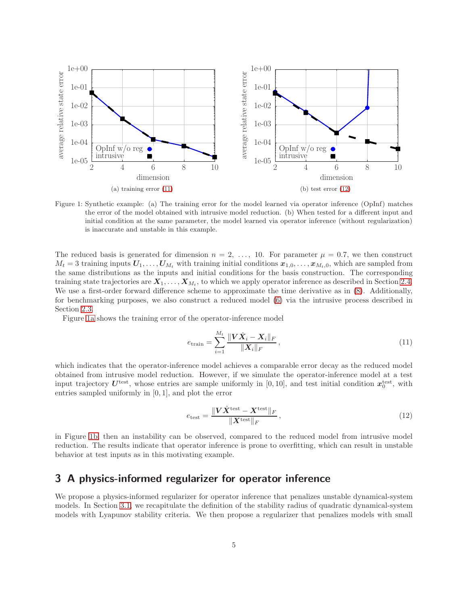<span id="page-4-3"></span>

Figure 1: Synthetic example: (a) The training error for the model learned via operator inference (OpInf) matches the error of the model obtained with intrusive model reduction. (b) When tested for a different input and initial condition at the same parameter, the model learned via operator inference (without regularization) is inaccurate and unstable in this example.

The reduced basis is generated for dimension  $n = 2, \ldots, 10$ . For parameter  $\mu = 0.7$ , we then construct  $M_t = 3$  training inputs  $U_1, \ldots, U_{M_t}$  with training initial conditions  $x_{1,0}, \ldots, x_{M_t,0}$ , which are sampled from the same distributions as the inputs and initial conditions for the basis construction. The corresponding training state trajectories are  $X_1, \ldots, X_{M_t}$ , to which we apply operator inference as described in Section [2.4.](#page-2-2) We use a first-order forward difference scheme to approximate the time derivative as in [\(8\)](#page-3-2). Additionally, for benchmarking purposes, we also construct a reduced model [\(6\)](#page-2-5) via the intrusive process described in Section [2.3.](#page-2-1)

Figure [1a](#page-4-3) shows the training error of the operator-inference model

<span id="page-4-4"></span><span id="page-4-1"></span>
$$
e_{\text{train}} = \sum_{i=1}^{M_t} \frac{\| \mathbf{V} \hat{X}_i - \mathbf{X}_i \|_F}{\| \mathbf{X}_i \|_F},
$$
\n(11)

which indicates that the operator-inference model achieves a comparable error decay as the reduced model obtained from intrusive model reduction. However, if we simulate the operator-inference model at a test input trajectory  $U^{\text{test}}$ , whose entries are sample uniformly in [0,10], and test initial condition  $x_0^{\text{test}}$ , with entries sampled uniformly in [0, 1], and plot the error

<span id="page-4-2"></span>
$$
e_{\text{test}} = \frac{\|\mathbf{V}\hat{\mathbf{X}}^{\text{test}} - \mathbf{X}^{\text{test}}\|_{F}}{\|\mathbf{X}^{\text{test}}\|_{F}},
$$
\n(12)

in Figure [1b,](#page-4-4) then an instability can be observed, compared to the reduced model from intrusive model reduction. The results indicate that operator inference is prone to overfitting, which can result in unstable behavior at test inputs as in this motivating example.

# <span id="page-4-0"></span>3 A physics-informed regularizer for operator inference

We propose a physics-informed regularizer for operator inference that penalizes unstable dynamical-system models. In Section [3.1,](#page-5-0) we recapitulate the definition of the stability radius of quadratic dynamical-system models with Lyapunov stability criteria. We then propose a regularizer that penalizes models with small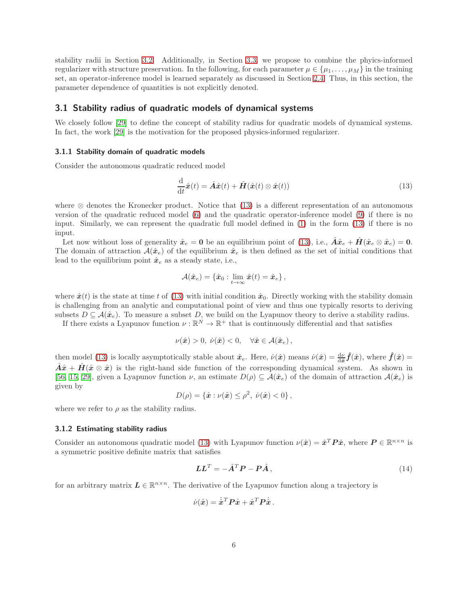stability radii in Section [3.2.](#page-6-0) Additionally, in Section [3.3,](#page-6-1) we propose to combine the phyics-informed regularizer with structure preservation. In the following, for each parameter  $\mu \in \{\mu_1, \dots, \mu_M\}$  in the training set, an operator-inference model is learned separately as discussed in Section [2.4.](#page-2-2) Thus, in this section, the parameter dependence of quantities is not explicitly denoted.

#### <span id="page-5-0"></span>3.1 Stability radius of quadratic models of dynamical systems

We closely follow [\[29\]](#page-18-11) to define the concept of stability radius for quadratic models of dynamical systems. In fact, the work [\[29\]](#page-18-11) is the motivation for the proposed physics-informed regularizer.

#### 3.1.1 Stability domain of quadratic models

Consider the autonomous quadratic reduced model

<span id="page-5-1"></span>
$$
\frac{\mathrm{d}}{\mathrm{d}t}\hat{\boldsymbol{x}}(t) = \hat{\boldsymbol{A}}\hat{\boldsymbol{x}}(t) + \hat{\boldsymbol{H}}(\hat{\boldsymbol{x}}(t) \otimes \hat{\boldsymbol{x}}(t))
$$
\n(13)

where ⊗ denotes the Kronecker product. Notice that [\(13\)](#page-5-1) is a different representation of an autonomous version of the quadratic reduced model [\(6\)](#page-2-5) and the quadratic operator-inference model [\(9\)](#page-3-3) if there is no input. Similarly, we can represent the quadratic full model defined in [\(1\)](#page-1-2) in the form [\(13\)](#page-5-1) if there is no input.

Let now without loss of generality  $\hat{x}_e = 0$  be an equilibrium point of [\(13\)](#page-5-1), i.e.,  $\hat{A}\hat{x}_e + H(\hat{x}_e \otimes \hat{x}_e) = 0$ . The domain of attraction  $\mathcal{A}(\hat{x}_e)$  of the equilibrium  $\hat{x}_e$  is then defined as the set of initial conditions that lead to the equilibrium point  $\hat{x}_e$  as a steady state, i.e.,

$$
\mathcal{A}(\hat{\boldsymbol{x}}_e) = \{\hat{\boldsymbol{x}}_0 : \lim_{t \to \infty} \hat{\boldsymbol{x}}(t) = \hat{\boldsymbol{x}}_e\},\
$$

where  $\hat{x}(t)$  is the state at time t of [\(13\)](#page-5-1) with initial condition  $\hat{x}_0$ . Directly working with the stability domain is challenging from an analytic and computational point of view and thus one typically resorts to deriving subsets  $D \subseteq \mathcal{A}(\hat{\boldsymbol{x}}_e)$ . To measure a subset D, we build on the Lyapunov theory to derive a stability radius.

If there exists a Lyapunov function  $\nu : \mathbb{R}^N \to \mathbb{R}^+$  that is continuously differential and that satisfies

$$
\nu(\hat{\boldsymbol{x}}) > 0, \; \dot{\nu}(\hat{\boldsymbol{x}}) < 0, \quad \forall \hat{\boldsymbol{x}} \in \mathcal{A}(\hat{\boldsymbol{x}}_e) \,,
$$

then model [\(13\)](#page-5-1) is locally asymptotically stable about  $\hat{x}_e$ . Here,  $\dot{\nu}(\hat{x})$  means  $\dot{\nu}(\hat{x}) = \frac{d\nu}{d\hat{x}} \hat{f}(\hat{x})$ , where  $\hat{f}(\hat{x}) =$  $\hat{A}\hat{x} + \hat{H}(\hat{x} \otimes \hat{x})$  is the right-hand side function of the corresponding dynamical system. As shown in [\[56,](#page-19-12) [15,](#page-17-8) [29\]](#page-18-11), given a Lyapunov function  $\nu$ , an estimate  $D(\rho) \subseteq \mathcal{A}(\hat{\boldsymbol{x}}_e)$  of the domain of attraction  $\mathcal{A}(\hat{\boldsymbol{x}}_e)$  is given by

$$
D(\rho) = \{\hat{\bm{x}} : \nu(\hat{\bm{x}}) \leq \rho^2, \ \dot{\nu}(\hat{\bm{x}}) < 0\},
$$

where we refer to  $\rho$  as the stability radius.

#### 3.1.2 Estimating stability radius

Consider an autonomous quadratic model [\(13\)](#page-5-1) with Lyapunov function  $\nu(\hat{x}) = \hat{x}^T P \hat{x}$ , where  $P \in \mathbb{R}^{n \times n}$  is a symmetric positive definite matrix that satisfies

$$
LL^T = -\hat{A}^T P - P\hat{A},\qquad(14)
$$

for an arbitrary matrix  $L \in \mathbb{R}^{n \times n}$ . The derivative of the Lyapunov function along a trajectory is

$$
\dot{\nu}(\hat{\bm{x}}) = \dot{\hat{\bm{x}}}^T \bm{P} \hat{\bm{x}} + \hat{\bm{x}}^T \bm{P} \dot{\hat{\bm{x}}} \,.
$$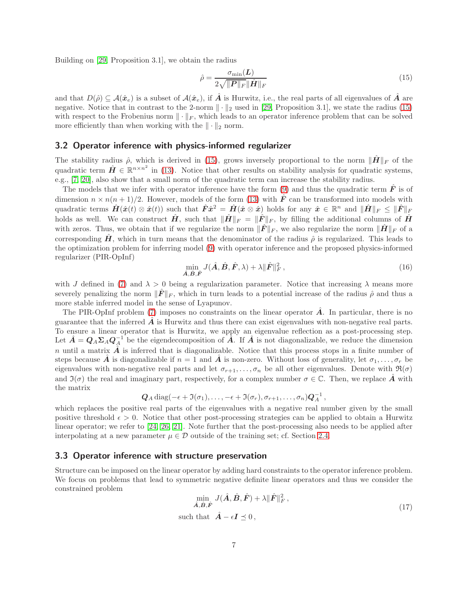Building on [\[29,](#page-18-11) Proposition 3.1], we obtain the radius

<span id="page-6-2"></span>
$$
\hat{\rho} = \frac{\sigma_{\min}(L)}{2\sqrt{\|P\|_F} \|\hat{H}\|_F}
$$
\n(15)

and that  $D(\hat{\rho}) \subseteq \mathcal{A}(\hat{\boldsymbol{x}}_e)$  is a subset of  $\mathcal{A}(\hat{\boldsymbol{x}}_e)$ , if  $\hat{\boldsymbol{A}}$  is Hurwitz, i.e., the real parts of all eigenvalues of  $\hat{\boldsymbol{A}}$  are negative. Notice that in contrast to the 2-norm  $\|\cdot\|_2$  used in [\[29,](#page-18-11) Proposition 3.1], we state the radius [\(15\)](#page-6-2) with respect to the Frobenius norm  $\|\cdot\|_F$ , which leads to an operator inference problem that can be solved more efficiently than when working with the  $\|\cdot\|_2$  norm.

#### <span id="page-6-0"></span>3.2 Operator inference with physics-informed regularizer

The stability radius  $\hat{\rho}$ , which is derived in [\(15\)](#page-6-2), grows inversely proportional to the norm  $\|\hat{H}\|_F$  of the quadratic term  $\hat{H} \in \mathbb{R}^{n \times n^2}$  in [\(13\)](#page-5-1). Notice that other results on stability analysis for quadratic systems, e.g., [\[7,](#page-17-9) [20\]](#page-17-10), also show that a small norm of the quadratic term can increase the stability radius.

The models that we infer with operator inference have the form [\(9\)](#page-3-3) and thus the quadratic term  $\hat{F}$  is of dimension  $n \times n(n+1)/2$ . However, models of the form [\(13\)](#page-5-1) with  $\hat{F}$  can be transformed into models with quadratic terms  $\hat{H}(\hat{x}(t) \otimes \hat{x}(t))$  such that  $\hat{F}\hat{x}^2 = \hat{H}(\hat{x} \otimes \hat{x})$  holds for any  $\hat{x} \in \mathbb{R}^n$  and  $\|\hat{H}\|_F \le \|\hat{F}\|_F$ holds as well. We can construct  $\hat{H}$ , such that  $\|\hat{H}\|_F = \|\hat{F}\|_F$ , by filling the additional columns of  $\hat{H}$ with zeros. Thus, we obtain that if we regularize the norm  $\|\hat{F}\|_F$ , we also regularize the norm  $\|\hat{H}\|_F$  of a corresponding  $\hat{H}$ , which in turn means that the denominator of the radius  $\hat{\rho}$  is regularized. This leads to the optimization problem for inferring model [\(9\)](#page-3-3) with operator inference and the proposed physics-informed regularizer (PIR-OpInf)

<span id="page-6-4"></span>
$$
\min_{\hat{\mathbf{A}}, \hat{\mathbf{B}}, \hat{\mathbf{F}}} J(\hat{\mathbf{A}}, \hat{\mathbf{B}}, \hat{\mathbf{F}}, \lambda) + \lambda \|\hat{\mathbf{F}}\|_F^2, \tag{16}
$$

with J defined in [\(7\)](#page-3-4) and  $\lambda > 0$  being a regularization parameter. Notice that increasing  $\lambda$  means more severely penalizing the norm  $\|\hat{F}\|_F$ , which in turn leads to a potential increase of the radius  $\hat{\rho}$  and thus a more stable inferred model in the sense of Lyapunov.

The PIR-OpInf problem [\(7\)](#page-3-4) imposes no constraints on the linear operator  $\hat{A}$ . In particular, there is no guarantee that the inferred  $\vec{A}$  is Hurwitz and thus there can exist eigenvalues with non-negative real parts. To ensure a linear operator that is Hurwitz, we apply an eigenvalue reflection as a post-processing step. Let  $\hat{A} = Q_A \Sigma_A Q_A^{-1}$  be the eigendecomposition of  $\hat{A}$ . If  $\hat{A}$  is not diagonalizable, we reduce the dimension n until a matrix  $\hat{A}$  is inferred that is diagonalizable. Notice that this process stops in a finite number of steps because A is diagonalizable if  $n = 1$  and A is non-zero. Without loss of generality, let  $\sigma_1, \ldots, \sigma_r$  be eigenvalues with non-negative real parts and let  $\sigma_{r+1}, \ldots, \sigma_n$  be all other eigenvalues. Denote with  $\Re(\sigma)$ and  $\mathfrak{I}(\sigma)$  the real and imaginary part, respectively, for a complex number  $\sigma \in \mathbb{C}$ . Then, we replace  $\hat{A}$  with the matrix

$$
\mathbf{Q}_A \operatorname{diag}(-\epsilon + \mathfrak{I}(\sigma_1), \ldots, -\epsilon + \mathfrak{I}(\sigma_r), \sigma_{r+1}, \ldots, \sigma_n) \mathbf{Q}_A^{-1},
$$

which replaces the positive real parts of the eigenvalues with a negative real number given by the small positive threshold  $\epsilon > 0$ . Notice that other post-processing strategies can be applied to obtain a Hurwitz linear operator; we refer to [\[24,](#page-18-13) [26,](#page-18-14) [21\]](#page-17-12). Note further that the post-processing also needs to be applied after interpolating at a new parameter  $\mu \in \mathcal{D}$  outside of the training set; cf. Section [2.4.](#page-2-2)

#### <span id="page-6-1"></span>3.3 Operator inference with structure preservation

Structure can be imposed on the linear operator by adding hard constraints to the operator inference problem. We focus on problems that lead to symmetric negative definite linear operators and thus we consider the constrained problem

<span id="page-6-3"></span>
$$
\min_{\hat{A}, \hat{B}, \hat{F}} J(\hat{A}, \hat{B}, \hat{F}) + \lambda \|\hat{F}\|_F^2,
$$
  
such that  $\hat{A} - \epsilon I \preceq 0$ , (17)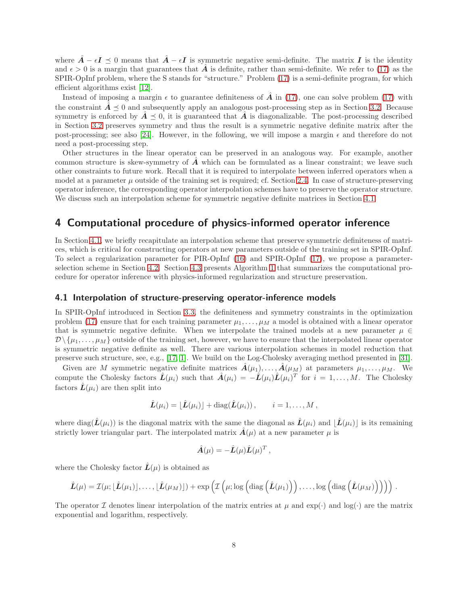where  $\hat{A} - \epsilon I \preceq 0$  means that  $\hat{A} - \epsilon I$  is symmetric negative semi-definite. The matrix I is the identity and  $\epsilon > 0$  is a margin that guarantees that  $\hat{A}$  is definite, rather than semi-definite. We refer to [\(17\)](#page-6-3) as the SPIR-OpInf problem, where the S stands for "structure." Problem [\(17\)](#page-6-3) is a semi-definite program, for which efficient algorithms exist [\[12\]](#page-17-13).

Instead of imposing a margin  $\epsilon$  to guarantee definiteness of  $\hat{A}$  in [\(17\)](#page-6-3), one can solve problem (17) with the constraint  $A \preceq 0$  and subsequently apply an analogous post-processing step as in Section [3.2.](#page-6-0) Because symmetry is enforced by  $A \preceq 0$ , it is guaranteed that A is diagonalizable. The post-processing described in Section [3.2](#page-6-0) preserves symmetry and thus the result is a symmetric negative definite matrix after the post-processing; see also [\[24\]](#page-18-13). However, in the following, we will impose a margin  $\epsilon$  and therefore do not need a post-processing step.

Other structures in the linear operator can be preserved in an analogous way. For example, another common structure is skew-symmetry of  $\hat{A}$  which can be formulated as a linear constraint; we leave such other constraints to future work. Recall that it is required to interpolate between inferred operators when a model at a parameter  $\mu$  outside of the training set is required; cf. Section [2.4.](#page-2-2) In case of structure-preserving operator inference, the corresponding operator interpolation schemes have to preserve the operator structure. We discuss such an interpolation scheme for symmetric negative definite matrices in Section [4.1.](#page-7-1)

# <span id="page-7-0"></span>4 Computational procedure of physics-informed operator inference

In Section [4.1,](#page-7-1) we briefly recapitulate an interpolation scheme that preserve symmetric definiteness of matrices, which is critical for constructing operators at new parameters outside of the training set in SPIR-OpInf. To select a regularization parameter for PIR-OpInf [\(16\)](#page-6-4) and SPIR-OpInf [\(17\)](#page-6-3), we propose a parameterselection scheme in Section [4.2.](#page-8-1) Section [4.3](#page-8-2) presents Algorithm [1](#page-9-0) that summarizes the computational procedure for operator inference with physics-informed regularization and structure preservation.

#### <span id="page-7-1"></span>4.1 Interpolation of structure-preserving operator-inference models

In SPIR-OpInf introduced in Section [3.3,](#page-6-1) the definiteness and symmetry constraints in the optimization problem [\(17\)](#page-6-3) ensure that for each training parameter  $\mu_1, \ldots, \mu_M$  a model is obtained with a linear operator that is symmetric negative definite. When we interpolate the trained models at a new parameter  $\mu \in$  $\mathcal{D}\setminus\{\mu_1,\ldots,\mu_M\}$  outside of the training set, however, we have to ensure that the interpolated linear operator is symmetric negative definite as well. There are various interpolation schemes in model reduction that preserve such structure, see, e.g., [\[17,](#page-17-14) [1\]](#page-16-4). We build on the Log-Cholesky averaging method presented in [\[31\]](#page-18-12).

Given are M symmetric negative definite matrices  $\hat{A}(\mu_1), \dots, \hat{A}(\mu_M)$  at parameters  $\mu_1, \dots, \mu_M$ . We compute the Cholesky factors  $\hat{L}(\mu_i)$  such that  $\hat{A}(\mu_i) = -\hat{L}(\mu_i)\hat{L}(\mu_i)^T$  for  $i = 1, ..., M$ . The Cholesky factors  $\hat{L}(\mu_i)$  are then split into

$$
\hat{\mathbf{L}}(\mu_i) = \lfloor \hat{\mathbf{L}}(\mu_i) \rfloor + \mathrm{diag}(\hat{\mathbf{L}}(\mu_i)), \qquad i = 1, \ldots, M,
$$

where diag $(L(\mu_i))$  is the diagonal matrix with the same the diagonal as  $\tilde{L}(\mu_i)$  and  $|\tilde{L}(\mu_i)|$  is its remaining strictly lower triangular part. The interpolated matrix  $\hat{A}(\mu)$  at a new parameter  $\mu$  is

$$
\hat{\mathbf{A}}(\mu) = -\hat{\mathbf{L}}(\mu)\hat{\mathbf{L}}(\mu)^T,
$$

where the Cholesky factor  $\hat{L}(\mu)$  is obtained as

$$
\hat{\mathbf{L}}(\mu) = \mathcal{I}(\mu; \lfloor \hat{\mathbf{L}}(\mu_1) \rfloor, \ldots, \lfloor \hat{\mathbf{L}}(\mu_M) \rfloor) + \exp \left( \mathcal{I} \left( \mu; \log \left( \mathrm{diag} \left( \hat{\mathbf{L}}(\mu_1) \right) \right), \ldots, \log \left( \mathrm{diag} \left( \hat{\mathbf{L}}(\mu_M) \right) \right) \right) \right).
$$

The operator I denotes linear interpolation of the matrix entries at  $\mu$  and  $\exp(\cdot)$  and  $\log(\cdot)$  are the matrix exponential and logarithm, respectively.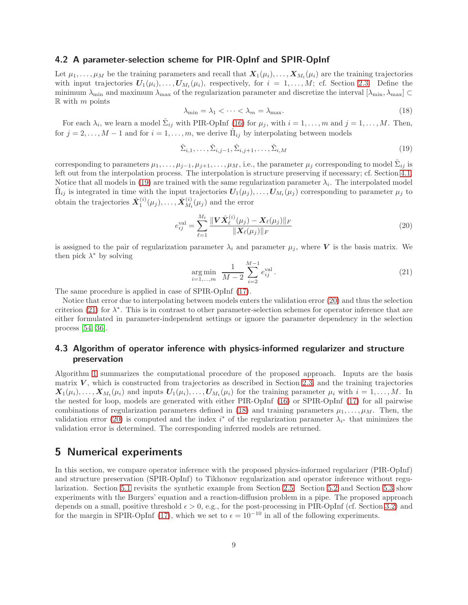#### <span id="page-8-1"></span>4.2 A parameter-selection scheme for PIR-OpInf and SPIR-OpInf

Let  $\mu_1, \ldots, \mu_M$  be the training parameters and recall that  $X_1(\mu_i), \ldots, X_{M_t}(\mu_i)$  are the training trajectories with input trajectories  $U_1(\mu_i), \ldots, U_{M_t}(\mu_i)$ , respectively, for  $i = 1, \ldots, M$ ; cf. Section [2.3.](#page-2-1) Define the minimum  $\lambda_{\min}$  and maximum  $\lambda_{\max}$  of the regularization parameter and discretize the interval  $[\lambda_{\min}, \lambda_{\max}] \subset$  $\mathbb R$  with m points

<span id="page-8-3"></span>
$$
\lambda_{\min} = \lambda_1 < \dots < \lambda_m = \lambda_{\max}.\tag{18}
$$

<span id="page-8-6"></span>For each  $\lambda_i$ , we learn a model  $\hat{\Sigma}_{ij}$  with PIR-OpInf [\(16\)](#page-6-4) for  $\mu_j$ , with  $i = 1, \ldots, m$  and  $j = 1, \ldots, M$ . Then, for  $j = 2, \ldots, M - 1$  and for  $i = 1, \ldots, m$ , we derive  $\hat{\Pi}_{ij}$  by interpolating between models

$$
\hat{\Sigma}_{i,1}, \dots, \hat{\Sigma}_{i,j-1}, \hat{\Sigma}_{i,j+1}, \dots, \hat{\Sigma}_{i,M}
$$
\n(19)

corresponding to parameters  $\mu_1, \ldots, \mu_{j-1}, \mu_{j+1}, \ldots, \mu_M$ , i.e., the parameter  $\mu_j$  corresponding to model  $\hat{\Sigma}_{ij}$  is left out from the interpolation process. The interpolation is structure preserving if necessary; cf. Section [4.1.](#page-7-1) Notice that all models in [\(19\)](#page-8-3) are trained with the same regularization parameter  $\lambda_i$ . The interpolated model  $\hat{\Pi}_{ij}$  is integrated in time with the input trajectories  $U_1(\mu_j), \ldots, U_{M_t}(\mu_j)$  corresponding to parameter  $\mu_j$  to  $\text{obtain the trajectories }\hat{\boldsymbol{X}}_{1}^{(i)}(\mu_{j}),\ldots,\hat{\boldsymbol{X}}_{M_{t}}^{(i)}$  $\chi_{M_t}^{(t)}(\mu_j)$  and the error

<span id="page-8-5"></span><span id="page-8-4"></span>
$$
e_{ij}^{\text{val}} = \sum_{\ell=1}^{M_t} \frac{\| \mathbf{V} \hat{X}_{\ell}^{(i)}(\mu_j) - \mathbf{X}_{\ell}(\mu_j) \|_{F}}{\| \mathbf{X}_{\ell}(\mu_j) \|_{F}}
$$
(20)

is assigned to the pair of regularization parameter  $\lambda_i$  and parameter  $\mu_j$ , where V is the basis matrix. We then pick  $\lambda^*$  by solving

$$
\underset{i=1,...,m}{\arg\min} \ \frac{1}{M-2} \sum_{i=2}^{M-1} e_{ij}^{\text{val}}.
$$
\n(21)

The same procedure is applied in case of SPIR-OpInf [\(17\)](#page-6-3).

Notice that error due to interpolating between models enters the validation error [\(20\)](#page-8-4) and thus the selection criterion [\(21\)](#page-8-5) for  $\lambda^*$ . This is in contrast to other parameter-selection schemes for operator inference that are either formulated in parameter-independent settings or ignore the parameter dependency in the selection process [54, [36\]](#page-18-10).

### <span id="page-8-2"></span>4.3 Algorithm of operator inference with physics-informed regularizer and structure preservation

Algorithm [1](#page-9-0) summarizes the computational procedure of the proposed approach. Inputs are the basis matrix  $V$ , which is constructed from trajectories as described in Section [2.3,](#page-2-1) and the training trajectories  $X_1(\mu_i), \ldots, X_{M_t}(\mu_i)$  and inputs  $U_1(\mu_i), \ldots, U_{M_t}(\mu_i)$  for the training parameter  $\mu_i$  with  $i = 1, \ldots, M$ . In the nested for loop, models are generated with either PIR-OpInf [\(16\)](#page-6-4) or SPIR-OpInf [\(17\)](#page-6-3) for all pairwise combinations of regularization parameters defined in [\(18\)](#page-8-6) and training parameters  $\mu_1, \ldots, \mu_M$ . Then, the validation error [\(20\)](#page-8-4) is computed and the index  $i^*$  of the regularization parameter  $\lambda_{i^*}$  that minimizes the validation error is determined. The corresponding inferred models are returned.

## <span id="page-8-0"></span>5 Numerical experiments

In this section, we compare operator inference with the proposed physics-informed regularizer (PIR-OpInf) and structure preservation (SPIR-OpInf) to Tikhonov regularization and operator inference without regularization. Section [5.1](#page-9-1) revisits the synthetic example from Section [2.5.](#page-3-0) Section [5.2](#page-9-2) and Section [5.3](#page-11-0) show experiments with the Burgers' equation and a reaction-diffusion problem in a pipe. The proposed approach depends on a small, positive threshold  $\epsilon > 0$ , e.g., for the post-processing in PIR-OpInf (cf. Section [3.2\)](#page-6-0) and for the margin in SPIR-OpInf [\(17\)](#page-6-3), which we set to  $\epsilon = 10^{-10}$  in all of the following experiments.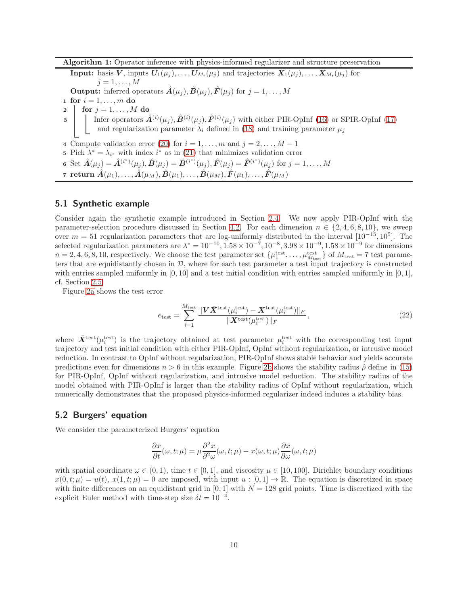Algorithm 1: Operator inference with physics-informed regularizer and structure preservation

**Input:** basis V, inputs  $U_1(\mu_j), \ldots, U_{M_t}(\mu_j)$  and trajectories  $X_1(\mu_j), \ldots, X_{M_t}(\mu_j)$  for  $i=1,\ldots,M$ **Output:** inferred operators  $\hat{A}(\mu_j), \hat{B}(\mu_j), \hat{F}(\mu_j)$  for  $j = 1, ..., M$ 1 for  $i = 1, \ldots, m$  do 2 for  $j = 1, \ldots, M$  do 3 Infer operators  $\hat{A}^{(i)}(\mu_j), \hat{B}^{(i)}(\mu_j), \hat{F}^{(i)}(\mu_j)$  with either PIR-OpInf [\(16\)](#page-6-4) or SPIR-OpInf [\(17\)](#page-6-3) and regularization parameter  $\lambda_i$  defined in [\(18\)](#page-8-6) and training parameter  $\mu_j$ 4 Compute validation error [\(20\)](#page-8-4) for  $i = 1, \ldots, m$  and  $j = 2, \ldots, M - 1$ 5 Pick  $\lambda^* = \lambda_{i^*}$  with index  $i^*$  as in [\(21\)](#page-8-5) that minimizes validation error 6 Set  $\hat{A}(\mu_j) = \hat{A}^{(i^*)}(\mu_j), \hat{B}(\mu_j) = \hat{B}^{(i^*)}(\mu_j), \hat{F}(\mu_j) = \hat{F}^{(i^*)}(\mu_j)$  for  $j = 1, ..., M$ 7 return  $\hat{A}(\mu_1), \ldots, \hat{A}(\mu_M), \hat{B}(\mu_1), \ldots, \hat{B}(\mu_M), \hat{F}(\mu_1), \ldots, \hat{F}(\mu_M)$ 

#### <span id="page-9-1"></span>5.1 Synthetic example

Consider again the synthetic example introduced in Section [2.4.](#page-2-2) We now apply PIR-OpInf with the parameter-selection procedure discussed in Section [4.2.](#page-8-1) For each dimension  $n \in \{2, 4, 6, 8, 10\}$ , we sweep over  $m = 51$  regularization parameters that are log-uniformly distributed in the interval  $[10^{-15}, 10^5]$ . The selected regularization parameters are  $\lambda^* = 10^{-10}$ ,  $1.58 \times 10^{-7}$ ,  $10^{-8}$ ,  $3.98 \times 10^{-9}$ ,  $1.58 \times 10^{-9}$  for dimensions  $n = 2, 4, 6, 8, 10$ , respectively. We choose the test parameter set  $\{\mu_1^{\text{test}}, \dots, \mu_{M_{\text{test}}}^{\text{test}}\}$  of  $M_{\text{test}} = 7$  test parameters that are equidistantly chosen in  $D$ , where for each test parameter a test input trajectory is constructed with entries sampled uniformly in  $[0, 10]$  and a test initial condition with entries sampled uniformly in  $[0, 1]$ , cf. Section [2.5.](#page-3-0)

Figure [2a](#page-10-0) shows the test error

<span id="page-9-3"></span><span id="page-9-0"></span>
$$
e_{\text{test}} = \sum_{i=1}^{M_{\text{test}}} \frac{\|V\bar{X}^{\text{test}}(\mu_i^{\text{test}}) - X^{\text{test}}(\mu_i^{\text{test}})\|_F}{\|X^{\text{test}}(\mu_i^{\text{test}})\|_F},\tag{22}
$$

where  $\bar{X}^{\text{test}}(\mu_i^{\text{test}})$  is the trajectory obtained at test parameter  $\mu_i^{\text{test}}$  with the corresponding test input trajectory and test initial condition with either PIR-OpInf, OpInf without regularization, or intrusive model reduction. In contrast to OpInf without regularization, PIR-OpInf shows stable behavior and yields accurate predictions even for dimensions  $n > 6$  in this example. Figure [2b](#page-10-1) shows the stability radius  $\hat{\rho}$  define in [\(15\)](#page-6-2) for PIR-OpInf, OpInf without regularization, and intrusive model reduction. The stability radius of the model obtained with PIR-OpInf is larger than the stability radius of OpInf without regularization, which numerically demonstrates that the proposed physics-informed regularizer indeed induces a stability bias.

#### <span id="page-9-2"></span>5.2 Burgers' equation

We consider the parameterized Burgers' equation

$$
\frac{\partial x}{\partial t}(\omega, t; \mu) = \mu \frac{\partial^2 x}{\partial^2 \omega}(\omega, t; \mu) - x(\omega, t; \mu) \frac{\partial x}{\partial \omega}(\omega, t; \mu)
$$

with spatial coordinate  $\omega \in (0,1)$ , time  $t \in [0,1]$ , and viscosity  $\mu \in [10,100]$ . Dirichlet boundary conditions  $x(0, t; \mu) = u(t), x(1, t; \mu) = 0$  are imposed, with input  $u : [0, 1] \to \mathbb{R}$ . The equation is discretized in space with finite differences on an equidistant grid in  $[0, 1]$  with  $N = 128$  grid points. Time is discretized with the explicit Euler method with time-step size  $\delta t = 10^{-4}$ .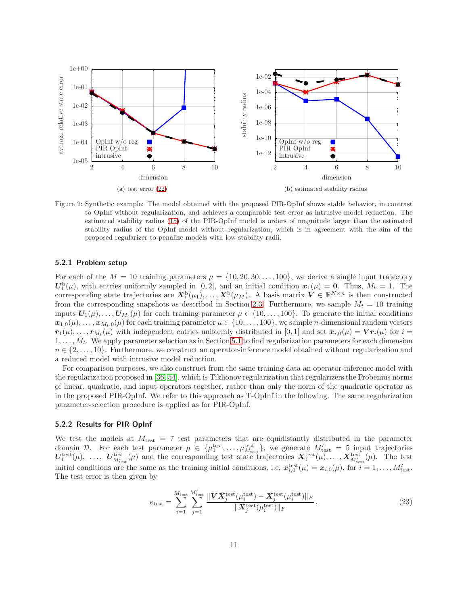<span id="page-10-0"></span>

<span id="page-10-1"></span>Figure 2: Synthetic example: The model obtained with the proposed PIR-OpInf shows stable behavior, in contrast to OpInf without regularization, and achieves a comparable test error as intrusive model reduction. The estimated stability radius [\(15\)](#page-6-2) of the PIR-OpInf model is orders of magnitude larger than the estimated stability radius of the OpInf model without regularization, which is in agreement with the aim of the proposed regularizer to penalize models with low stability radii.

#### 5.2.1 Problem setup

For each of the  $M = 10$  training parameters  $\mu = \{10, 20, 30, \ldots, 100\}$ , we derive a single input trajectory  $U_1^b(\mu)$ , with entries uniformly sampled in [0, 2], and an initial condition  $x_1(\mu) = 0$ . Thus,  $M_b = 1$ . The corresponding state trajectories are  $X_1^b(\mu_1), \ldots, X_1^b(\mu_M)$ . A basis matrix  $V \in \mathbb{R}^{N \times n}$  is then constructed from the corresponding snapshots as described in Section [2.3.](#page-2-1) Furthermore, we sample  $M_t = 10$  training inputs  $U_1(\mu), \ldots, U_{M_t}(\mu)$  for each training parameter  $\mu \in \{10, \ldots, 100\}$ . To generate the initial conditions  $x_{1,0}(\mu), \ldots, x_{M_t,0}(\mu)$  for each training parameter  $\mu \in \{10,\ldots,100\}$ , we sample *n*-dimensional random vectors  $r_1(\mu), \ldots, r_{M_t}(\mu)$  with independent entries uniformly distributed in [0, 1] and set  $x_{i,0}(\mu) = V r_i(\mu)$  for  $i =$  $1, \ldots, M_t$ . We apply parameter selection as in Section [5.1](#page-9-1) to find regularization parameters for each dimension  $n \in \{2, \ldots, 10\}$ . Furthermore, we construct an operator-inference model obtained without regularization and a reduced model with intrusive model reduction.

For comparison purposes, we also construct from the same training data an operator-inference model with the regularization proposed in [\[36,](#page-18-10) 54], which is Tikhonov regularization that regularizers the Frobenius norms of linear, quadratic, and input operators together, rather than only the norm of the quadratic operator as in the proposed PIR-OpInf. We refer to this approach as T-OpInf in the following. The same regularization parameter-selection procedure is applied as for PIR-OpInf.

#### 5.2.2 Results for PIR-OpInf

We test the models at  $M_{\text{test}} = 7$  test parameters that are equidistantly distributed in the parameter domain D. For each test parameter  $\mu \in \{\mu_1^{\text{test}}, \ldots, \mu_{M_{\text{test}}}^{\text{test}}\}$ , we generate  $M'_{\text{test}} = 5$  input trajectories  $U_1^{\text{test}}(\mu)$ , ...,  $U_{M'_{\text{test}}}^{\text{test}}(\mu)$  and the corresponding test state trajectories  $X_1^{\text{test}}(\mu)$ , ...,  $X_{M'_{\text{test}}}^{\text{test}}(\mu)$ . The test initial conditions are the same as the training initial conditions, i.e,  $\mathbf{x}_{i,0}^{\text{test}}(\mu) = \mathbf{x}_{i,0}(\mu)$ , for  $i = 1, \ldots, M'_{\text{test}}$ . The test error is then given by

<span id="page-10-2"></span>
$$
e_{\text{test}} = \sum_{i=1}^{M_{\text{test}}} \sum_{j=1}^{M_{\text{test}}'} \frac{\| \mathbf{V} \bar{X}_j^{\text{test}}(\mu_i^{\text{test}}) - \mathbf{X}_j^{\text{test}}(\mu_i^{\text{test}}) \|_F}{\| \mathbf{X}_j^{\text{test}}(\mu_i^{\text{test}}) \|_F},
$$
\n(23)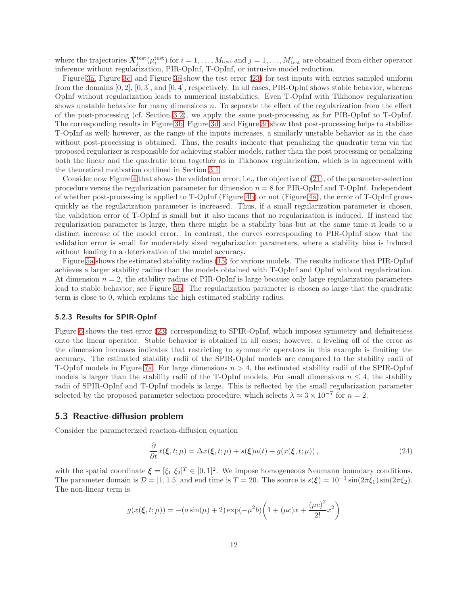where the trajectories  $\bar{X}^{\text{test}}_j(\mu_i^{\text{test}})$  for  $i=1,\ldots,M_{\text{test}}$  and  $j=1,\ldots,M'_{\text{test}}$  are obtained from either operator inference without regularization, PIR-OpInf, T-OpInf, or intrusive model reduction.

Figure [3a,](#page-12-0) Figure [3c,](#page-12-1) and Figure [3e](#page-12-2) show the test error [\(23\)](#page-10-2) for test inputs with entries sampled uniform from the domains  $[0, 2]$ ,  $[0, 3]$ , and  $[0, 4]$ , respectively. In all cases, PIR-OpInf shows stable behavior, whereas OpInf without regularization leads to numerical instabilities. Even T-OpInf with Tikhonov regularization shows unstable behavior for many dimensions  $n$ . To separate the effect of the regularization from the effect of the post-processing (cf. Section [3.2\)](#page-6-0), we apply the same post-processing as for PIR-OpInf to T-OpInf. The corresponding results in Figure [3b,](#page-12-3) Figure [3d,](#page-12-4) and Figure [3f](#page-12-5) show that post-processing helps to stabilize T-OpInf as well; however, as the range of the inputs increases, a similarly unstable behavior as in the case without post-processing is obtained. Thus, the results indicate that penalizing the quadratic term via the proposed regularizer is responsible for achieving stabler models, rather than the post processing or penalizing both the linear and the quadratic term together as in Tikhonov regularization, which is in agreement with the theoretical motivation outlined in Section [3.1.](#page-5-0)

Consider now Figure [4](#page-13-0) that shows the validation error, i.e., the objective of [\(21\)](#page-8-5), of the parameter-selection procedure versus the regularization parameter for dimension  $n = 8$  for PIR-OpInf and T-OpInf. Independent of whether post-processing is applied to T-OpInf (Figure [4b\)](#page-13-1) or not (Figure [4a\)](#page-13-2), the error of T-OpInf grows quickly as the regularization parameter is increased. Thus, if a small regularization parameter is chosen, the validation error of T-OpInf is small but it also means that no regularization is induced. If instead the regularization parameter is large, then there might be a stability bias but at the same time it leads to a distinct increase of the model error. In contrast, the curves corresponding to PIR-OpInf show that the validation error is small for moderately sized regularization parameters, where a stability bias is induced without leading to a deterioration of the model accuracy.

Figure [5a](#page-13-3) shows the estimated stability radius [\(15\)](#page-6-2) for various models. The results indicate that PIR-OpInf achieves a larger stability radius than the models obtained with T-OpInf and OpInf without regularization. At dimension  $n = 2$ , the stability radius of PIR-OpInf is large because only large regularization parameters lead to stable behavior; see Figure [5b.](#page-13-4) The regularization parameter is chosen so large that the quadratic term is close to 0, which explains the high estimated stability radius.

#### 5.2.3 Results for SPIR-OpInf

Figure [6](#page-14-0) shows the test error [\(23\)](#page-10-2) corresponding to SPIR-OpInf, which imposes symmetry and definiteness onto the linear operator. Stable behavior is obtained in all cases; however, a leveling off of the error as the dimension increases indicates that restricting to symmetric operators in this example is limiting the accuracy. The estimated stability radii of the SPIR-OpInf models are compared to the stability radii of T-OpInf models in Figure [7a.](#page-14-1) For large dimensions  $n > 4$ , the estimated stability radii of the SPIR-OpInf models is larger than the stability radii of the T-OpInf models. For small dimensions  $n \leq 4$ , the stability radii of SPIR-OpInf and T-OpInf models is large. This is reflected by the small regularization parameter selected by the proposed parameter selection procedure, which selects  $\lambda \approx 3 \times 10^{-7}$  for  $n = 2$ .

#### <span id="page-11-0"></span>5.3 Reactive-diffusion problem

Consider the parameterized reaction-diffusion equation

$$
\frac{\partial}{\partial t}x(\xi, t; \mu) = \Delta x(\xi, t; \mu) + s(\xi)u(t) + g(x(\xi, t; \mu)), \qquad (24)
$$

with the spatial coordinate  $\boldsymbol{\xi} = [\xi_1 \ \xi_2]^T \in [0,1]^2$ . We impose homogeneous Neumann boundary conditions. The parameter domain is  $\mathcal{D} = [1, 1.5]$  and end time is  $T = 20$ . The source is  $s(\xi) = 10^{-1} \sin(2\pi \xi_1) \sin(2\pi \xi_2)$ . The non-linear term is

$$
g(x(\xi, t; \mu)) = -(a\sin(\mu) + 2)\exp(-\mu^2 b)\left(1 + (\mu c)x + \frac{(\mu c)^2}{2!}x^2\right)
$$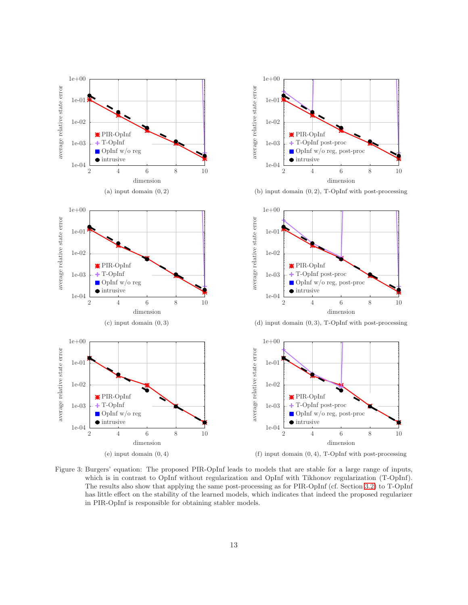<span id="page-12-6"></span><span id="page-12-3"></span><span id="page-12-1"></span><span id="page-12-0"></span>

<span id="page-12-5"></span><span id="page-12-4"></span><span id="page-12-2"></span>Figure 3: Burgers' equation: The proposed PIR-OpInf leads to models that are stable for a large range of inputs, which is in contrast to OpInf without regularization and OpInf with Tikhonov regularization (T-OpInf). The results also show that applying the same post-processing as for PIR-OpInf (cf. Section [3.2\)](#page-6-0) to T-OpInf has little effect on the stability of the learned models, which indicates that indeed the proposed regularizer in PIR-OpInf is responsible for obtaining stabler models.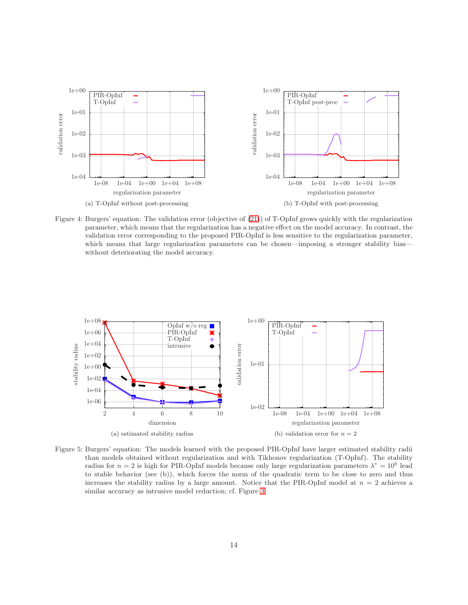<span id="page-13-2"></span><span id="page-13-0"></span>

<span id="page-13-1"></span>Figure 4: Burgers' equation: The validation error (objective of [\(21\)](#page-8-5)) of T-OpInf grows quickly with the regularization parameter, which means that the regularization has a negative effect on the model accuracy. In contrast, the validation error corresponding to the proposed PIR-OpInf is less sensitive to the regularization parameter, which means that large regularization parameters can be chosen—imposing a stronger stability bias without deteriorating the model accuracy.

<span id="page-13-3"></span>

<span id="page-13-4"></span>Figure 5: Burgers' equation: The models learned with the proposed PIR-OpInf have larger estimated stability radii than models obtained without regularization and with Tikhonov regularization (T-OpInf). The stability radius for  $n = 2$  is high for PIR-OpInf models because only large regularization parameters  $\lambda^* = 10^6$  lead to stable behavior (see (b)), which forces the norm of the quadratic term to be close to zero and thus increases the stability radius by a large amount. Notice that the PIR-OpInf model at  $n = 2$  achieves a similar accuracy as intrusive model reduction; cf. Figure [3.](#page-12-6)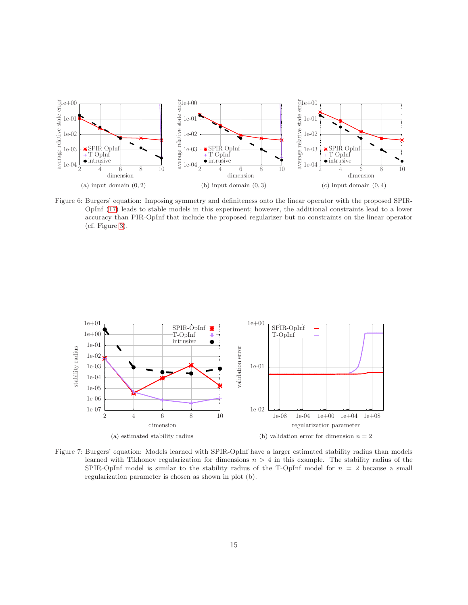<span id="page-14-0"></span>

Figure 6: Burgers' equation: Imposing symmetry and definiteness onto the linear operator with the proposed SPIR-OpInf [\(17\)](#page-6-3) leads to stable models in this experiment; however, the additional constraints lead to a lower accuracy than PIR-OpInf that include the proposed regularizer but no constraints on the linear operator (cf. Figure [3\)](#page-12-6).

<span id="page-14-1"></span>

Figure 7: Burgers' equation: Models learned with SPIR-OpInf have a larger estimated stability radius than models learned with Tikhonov regularization for dimensions  $n > 4$  in this example. The stability radius of the SPIR-OpInf model is similar to the stability radius of the T-OpInf model for  $n = 2$  because a small regularization parameter is chosen as shown in plot (b).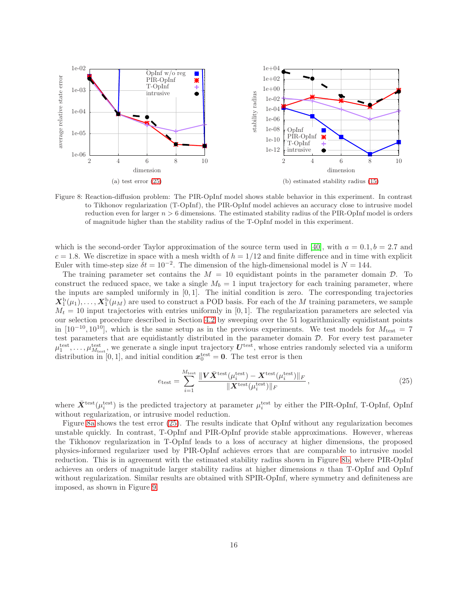<span id="page-15-1"></span>

<span id="page-15-2"></span>Figure 8: Reaction-diffusion problem: The PIR-OpInf model shows stable behavior in this experiment. In contrast to Tikhonov regularization (T-OpInf), the PIR-OpInf model achieves an accuracy close to intrusive model reduction even for larger  $n > 6$  dimensions. The estimated stability radius of the PIR-OpInf model is orders of magnitude higher than the stability radius of the T-OpInf model in this experiment.

which is the second-order Taylor approximation of the source term used in [\[40\]](#page-18-9), with  $a = 0.1, b = 2.7$  and  $c = 1.8$ . We discretize in space with a mesh width of  $h = 1/12$  and finite difference and in time with explicit Euler with time-step size  $\delta t = 10^{-2}$ . The dimension of the high-dimensional model is  $N = 144$ .

The training parameter set contains the  $M = 10$  equidistant points in the parameter domain  $D$ . To construct the reduced space, we take a single  $M_b = 1$  input trajectory for each training parameter, where the inputs are sampled uniformly in [0, 1]. The initial condition is zero. The corresponding trajectories  $X_1^b(\mu_1), \ldots, X_1^b(\mu_M)$  are used to construct a POD basis. For each of the M training parameters, we sample  $M_t = 10$  input trajectories with entries uniformly in [0,1]. The regularization parameters are selected via our selection procedure described in Section [4.2](#page-8-1) by sweeping over the 51 logarithmically equidistant points in [10<sup>-10</sup>, 10<sup>10</sup>], which is the same setup as in the previous experiments. We test models for  $M_{\text{test}} = 7$ test parameters that are equidistantly distributed in the parameter domain D. For every test parameter  $\mu_1^{\text{test}}, \ldots, \mu_{M_{\text{test}}}^{\text{test}},$  we generate a single input trajectory  $U^{\text{test}},$  whose entries randomly selected via a uniform distribution in [0, 1], and initial condition  $x_0^{\text{test}} = 0$ . The test error is then

<span id="page-15-0"></span>
$$
e_{\text{test}} = \sum_{i=1}^{M_{\text{test}}} \frac{\|V\bar{X}^{\text{test}}(\mu_i^{\text{test}}) - X^{\text{test}}(\mu_i^{\text{test}})\|_F}{\|X^{\text{test}}(\mu_i^{\text{test}})\|_F},\tag{25}
$$

where  $\bar{X}^{\text{test}}(\mu_i^{\text{test}})$  is the predicted trajectory at parameter  $\mu_i^{\text{test}}$  by either the PIR-OpInf, T-OpInf, OpInf without regularization, or intrusive model reduction.

Figure [8a](#page-15-1) shows the test error [\(25\)](#page-15-0). The results indicate that OpInf without any regularization becomes unstable quickly. In contrast, T-OpInf and PIR-OpInf provide stable approximations. However, whereas the Tikhonov regularization in T-OpInf leads to a loss of accuracy at higher dimensions, the proposed physics-informed regularizer used by PIR-OpInf achieves errors that are comparable to intrusive model reduction. This is in agreement with the estimated stability radius shown in Figure [8b,](#page-15-2) where PIR-OpInf achieves an orders of magnitude larger stability radius at higher dimensions  $n$  than T-OpInf and OpInf without regularization. Similar results are obtained with SPIR-OpInf, where symmetry and definiteness are imposed, as shown in Figure [9.](#page-16-5)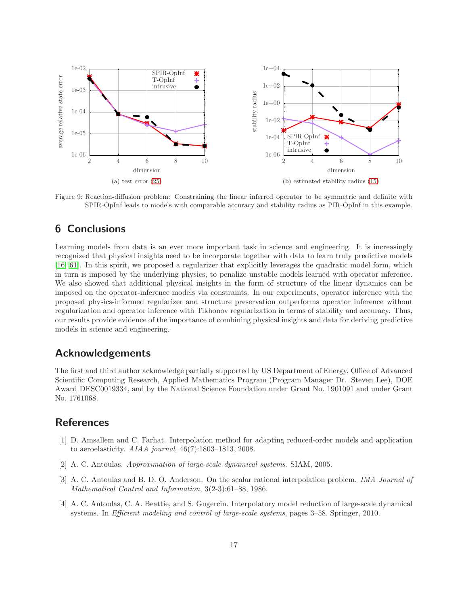<span id="page-16-5"></span>

Figure 9: Reaction-diffusion problem: Constraining the linear inferred operator to be symmetric and definite with SPIR-OpInf leads to models with comparable accuracy and stability radius as PIR-OpInf in this example.

# <span id="page-16-1"></span>6 Conclusions

Learning models from data is an ever more important task in science and engineering. It is increasingly recognized that physical insights need to be incorporate together with data to learn truly predictive models [16, [61\]](#page-20-0). In this spirit, we proposed a regularizer that explicitly leverages the quadratic model form, which in turn is imposed by the underlying physics, to penalize unstable models learned with operator inference. We also showed that additional physical insights in the form of structure of the linear dynamics can be imposed on the operator-inference models via constraints. In our experiments, operator inference with the proposed physics-informed regularizer and structure preservation outperforms operator inference without regularization and operator inference with Tikhonov regularization in terms of stability and accuracy. Thus, our results provide evidence of the importance of combining physical insights and data for deriving predictive models in science and engineering.

## Acknowledgements

The first and third author acknowledge partially supported by US Department of Energy, Office of Advanced Scientific Computing Research, Applied Mathematics Program (Program Manager Dr. Steven Lee), DOE Award DESC0019334, and by the National Science Foundation under Grant No. 1901091 and under Grant No. 1761068.

# <span id="page-16-4"></span>**References**

- [1] D. Amsallem and C. Farhat. Interpolation method for adapting reduced-order models and application to aeroelasticity. AIAA journal, 46(7):1803–1813, 2008.
- <span id="page-16-2"></span><span id="page-16-0"></span>[2] A. C. Antoulas. Approximation of large-scale dynamical systems. SIAM, 2005.
- [3] A. C. Antoulas and B. D. O. Anderson. On the scalar rational interpolation problem. IMA Journal of Mathematical Control and Information, 3(2-3):61–88, 1986.
- <span id="page-16-3"></span>[4] A. C. Antoulas, C. A. Beattie, and S. Gugercin. Interpolatory model reduction of large-scale dynamical systems. In Efficient modeling and control of large-scale systems, pages 3–58. Springer, 2010.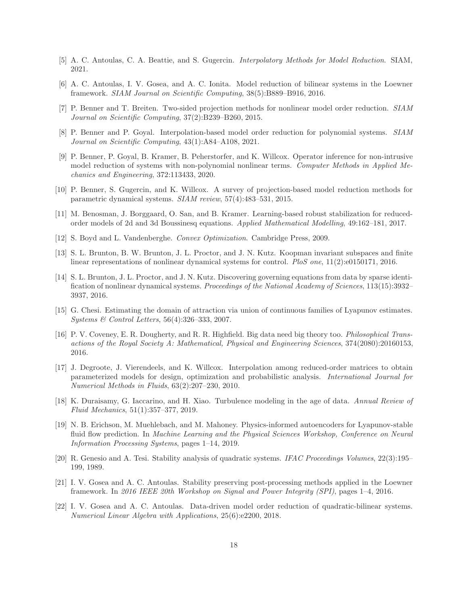- <span id="page-17-2"></span><span id="page-17-1"></span>[5] A. C. Antoulas, C. A. Beattie, and S. Gugercin. Interpolatory Methods for Model Reduction. SIAM, 2021.
- [6] A. C. Antoulas, I. V. Gosea, and A. C. Ionita. Model reduction of bilinear systems in the Loewner framework. SIAM Journal on Scientific Computing, 38(5):B889–B916, 2016.
- <span id="page-17-9"></span>[7] P. Benner and T. Breiten. Two-sided projection methods for nonlinear model order reduction. SIAM Journal on Scientific Computing, 37(2):B239–B260, 2015.
- <span id="page-17-7"></span>[8] P. Benner and P. Goyal. Interpolation-based model order reduction for polynomial systems. SIAM Journal on Scientific Computing, 43(1):A84–A108, 2021.
- [9] P. Benner, P. Goyal, B. Kramer, B. Peherstorfer, and K. Willcox. Operator inference for non-intrusive model reduction of systems with non-polynomial nonlinear terms. Computer Methods in Applied Mechanics and Engineering, 372:113433, 2020.
- <span id="page-17-11"></span>[10] P. Benner, S. Gugercin, and K. Willcox. A survey of projection-based model reduction methods for parametric dynamical systems. SIAM review, 57(4):483–531, 2015.
- <span id="page-17-13"></span><span id="page-17-6"></span>[11] M. Benosman, J. Borggaard, O. San, and B. Kramer. Learning-based robust stabilization for reducedorder models of 2d and 3d Boussinesq equations. Applied Mathematical Modelling, 49:162–181, 2017.
- <span id="page-17-4"></span>[12] S. Boyd and L. Vandenberghe. Convex Optimization. Cambridge Press, 2009.
- [13] S. L. Brunton, B. W. Brunton, J. L. Proctor, and J. N. Kutz. Koopman invariant subspaces and finite linear representations of nonlinear dynamical systems for control. PloS one, 11(2):e0150171, 2016.
- <span id="page-17-0"></span>[14] S. L. Brunton, J. L. Proctor, and J. N. Kutz. Discovering governing equations from data by sparse identification of nonlinear dynamical systems. Proceedings of the National Academy of Sciences, 113(15):3932– 3937, 2016.
- <span id="page-17-8"></span>[15] G. Chesi. Estimating the domain of attraction via union of continuous families of Lyapunov estimates. Systems & Control Letters, 56(4):326–333, 2007.
- [16] P. V. Coveney, E. R. Dougherty, and R. R. Highfield. Big data need big theory too. Philosophical Transactions of the Royal Society A: Mathematical, Physical and Engineering Sciences, 374(2080):20160153, 2016.
- <span id="page-17-14"></span>[17] J. Degroote, J. Vierendeels, and K. Willcox. Interpolation among reduced-order matrices to obtain parameterized models for design, optimization and probabilistic analysis. International Journal for Numerical Methods in Fluids, 63(2):207–230, 2010.
- [18] K. Duraisamy, G. Iaccarino, and H. Xiao. Turbulence modeling in the age of data. Annual Review of Fluid Mechanics, 51(1):357–377, 2019.
- <span id="page-17-5"></span>[19] N. B. Erichson, M. Muehlebach, and M. Mahoney. Physics-informed autoencoders for Lyapunov-stable fluid flow prediction. In Machine Learning and the Physical Sciences Workshop, Conference on Neural Information Processing Systems, pages 1–14, 2019.
- <span id="page-17-10"></span>[20] R. Genesio and A. Tesi. Stability analysis of quadratic systems. IFAC Proceedings Volumes, 22(3):195– 199, 1989.
- <span id="page-17-12"></span>[21] I. V. Gosea and A. C. Antoulas. Stability preserving post-processing methods applied in the Loewner framework. In 2016 IEEE 20th Workshop on Signal and Power Integrity (SPI), pages 1–4, 2016.
- <span id="page-17-3"></span>[22] I. V. Gosea and A. C. Antoulas. Data-driven model order reduction of quadratic-bilinear systems. Numerical Linear Algebra with Applications, 25(6):e2200, 2018.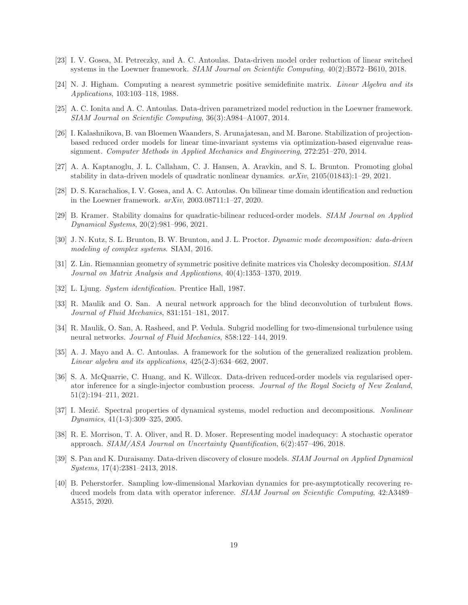- [23] I. V. Gosea, M. Petreczky, and A. C. Antoulas. Data-driven model order reduction of linear switched systems in the Loewner framework. SIAM Journal on Scientific Computing,  $40(2):B572-B610, 2018$ .
- <span id="page-18-13"></span><span id="page-18-2"></span>[24] N. J. Higham. Computing a nearest symmetric positive semidefinite matrix. Linear Algebra and its Applications, 103:103–118, 1988.
- [25] A. C. Ionita and A. C. Antoulas. Data-driven parametrized model reduction in the Loewner framework. SIAM Journal on Scientific Computing, 36(3):A984–A1007, 2014.
- <span id="page-18-14"></span>[26] I. Kalashnikova, B. van Bloemen Waanders, S. Arunajatesan, and M. Barone. Stabilization of projectionbased reduced order models for linear time-invariant systems via optimization-based eigenvalue reassignment. Computer Methods in Applied Mechanics and Engineering, 272:251–270, 2014.
- <span id="page-18-6"></span>[27] A. A. Kaptanoglu, J. L. Callaham, C. J. Hansen, A. Aravkin, and S. L. Brunton. Promoting global stability in data-driven models of quadratic nonlinear dynamics. arXiv, 2105(01843):1–29, 2021.
- <span id="page-18-11"></span><span id="page-18-3"></span>[28] D. S. Karachalios, I. V. Gosea, and A. C. Antoulas. On bilinear time domain identification and reduction in the Loewner framework. arXiv, 2003.08711:1–27, 2020.
- <span id="page-18-4"></span>[29] B. Kramer. Stability domains for quadratic-bilinear reduced-order models. SIAM Journal on Applied Dynamical Systems, 20(2):981–996, 2021.
- [30] J. N. Kutz, S. L. Brunton, B. W. Brunton, and J. L. Proctor. Dynamic mode decomposition: data-driven modeling of complex systems. SIAM, 2016.
- <span id="page-18-12"></span>[31] Z. Lin. Riemannian geometry of symmetric positive definite matrices via Cholesky decomposition. SIAM Journal on Matrix Analysis and Applications, 40(4):1353–1370, 2019.
- <span id="page-18-7"></span><span id="page-18-0"></span>[32] L. Ljung. System identification. Prentice Hall, 1987.
- [33] R. Maulik and O. San. A neural network approach for the blind deconvolution of turbulent flows. Journal of Fluid Mechanics, 831:151–181, 2017.
- <span id="page-18-8"></span>[34] R. Maulik, O. San, A. Rasheed, and P. Vedula. Subgrid modelling for two-dimensional turbulence using neural networks. Journal of Fluid Mechanics, 858:122–144, 2019.
- <span id="page-18-1"></span>[35] A. J. Mayo and A. C. Antoulas. A framework for the solution of the generalized realization problem. Linear algebra and its applications, 425(2-3):634–662, 2007.
- <span id="page-18-10"></span>[36] S. A. McQuarrie, C. Huang, and K. Willcox. Data-driven reduced-order models via regularised operator inference for a single-injector combustion process. Journal of the Royal Society of New Zealand, 51(2):194–211, 2021.
- <span id="page-18-5"></span>[37] I. Mezić. Spectral properties of dynamical systems, model reduction and decompositions. Nonlinear Dynamics, 41(1-3):309–325, 2005.
- [38] R. E. Morrison, T. A. Oliver, and R. D. Moser. Representing model inadequacy: A stochastic operator approach. SIAM/ASA Journal on Uncertainty Quantification, 6(2):457–496, 2018.
- [39] S. Pan and K. Duraisamy. Data-driven discovery of closure models. SIAM Journal on Applied Dynamical Systems, 17(4):2381–2413, 2018.
- <span id="page-18-9"></span>[40] B. Peherstorfer. Sampling low-dimensional Markovian dynamics for pre-asymptotically recovering reduced models from data with operator inference. SIAM Journal on Scientific Computing, 42:A3489– A3515, 2020.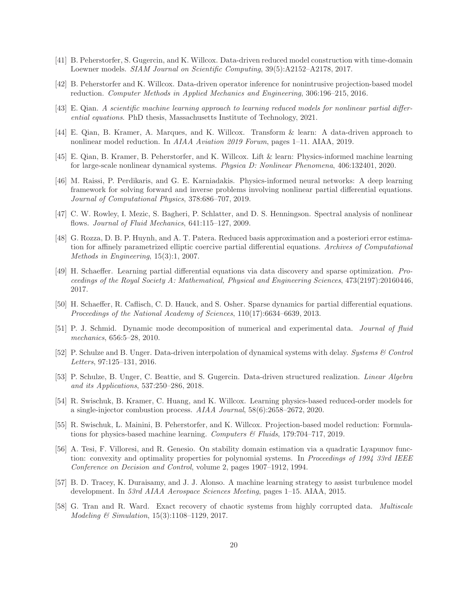- <span id="page-19-9"></span><span id="page-19-5"></span>[41] B. Peherstorfer, S. Gugercin, and K. Willcox. Data-driven reduced model construction with time-domain Loewner models. SIAM Journal on Scientific Computing, 39(5):A2152–A2178, 2017.
- [42] B. Peherstorfer and K. Willcox. Data-driven operator inference for nonintrusive projection-based model reduction. Computer Methods in Applied Mechanics and Engineering, 306:196–215, 2016.
- <span id="page-19-11"></span><span id="page-19-10"></span>[43] E. Qian. A scientific machine learning approach to learning reduced models for nonlinear partial differential equations. PhD thesis, Massachusetts Institute of Technology, 2021.
- <span id="page-19-2"></span>[44] E. Qian, B. Kramer, A. Marques, and K. Willcox. Transform & learn: A data-driven approach to nonlinear model reduction. In AIAA Aviation 2019 Forum, pages 1–11. AIAA, 2019.
- <span id="page-19-1"></span>[45] E. Qian, B. Kramer, B. Peherstorfer, and K. Willcox. Lift & learn: Physics-informed machine learning for large-scale nonlinear dynamical systems. Physica D: Nonlinear Phenomena, 406:132401, 2020.
- [46] M. Raissi, P. Perdikaris, and G. E. Karniadakis. Physics-informed neural networks: A deep learning framework for solving forward and inverse problems involving nonlinear partial differential equations. Journal of Computational Physics, 378:686–707, 2019.
- <span id="page-19-13"></span><span id="page-19-7"></span>[47] C. W. Rowley, I. Mezic, S. Bagheri, P. Schlatter, and D. S. Henningson. Spectral analysis of nonlinear flows. *Journal of Fluid Mechanics*, 641:115-127, 2009.
- [48] G. Rozza, D. B. P. Huynh, and A. T. Patera. Reduced basis approximation and a posteriori error estimation for affinely parametrized elliptic coercive partial differential equations. Archives of Computational Methods in Engineering, 15(3):1, 2007.
- [49] H. Schaeffer. Learning partial differential equations via data discovery and sparse optimization. Proceedings of the Royal Society A: Mathematical, Physical and Engineering Sciences, 473(2197):20160446, 2017.
- <span id="page-19-8"></span>[50] H. Schaeffer, R. Caflisch, C. D. Hauck, and S. Osher. Sparse dynamics for partial differential equations. Proceedings of the National Academy of Sciences, 110(17):6634–6639, 2013.
- <span id="page-19-6"></span>[51] P. J. Schmid. Dynamic mode decomposition of numerical and experimental data. Journal of fluid mechanics, 656:5–28, 2010.
- <span id="page-19-4"></span>[52] P. Schulze and B. Unger. Data-driven interpolation of dynamical systems with delay. Systems & Control Letters, 97:125–131, 2016.
- <span id="page-19-3"></span>[53] P. Schulze, B. Unger, C. Beattie, and S. Gugercin. Data-driven structured realization. Linear Algebra and its Applications, 537:250–286, 2018.
- [54] R. Swischuk, B. Kramer, C. Huang, and K. Willcox. Learning physics-based reduced-order models for a single-injector combustion process. AIAA Journal, 58(6):2658–2672, 2020.
- <span id="page-19-0"></span>[55] R. Swischuk, L. Mainini, B. Peherstorfer, and K. Willcox. Projection-based model reduction: Formulations for physics-based machine learning. Computers & Fluids, 179:704–717, 2019.
- <span id="page-19-12"></span>[56] A. Tesi, F. Villoresi, and R. Genesio. On stability domain estimation via a quadratic Lyapunov function: convexity and optimality properties for polynomial systems. In Proceedings of 1994 33rd IEEE Conference on Decision and Control, volume 2, pages 1907–1912, 1994.
- [57] B. D. Tracey, K. Duraisamy, and J. J. Alonso. A machine learning strategy to assist turbulence model development. In 53rd AIAA Aerospace Sciences Meeting, pages 1–15. AIAA, 2015.
- [58] G. Tran and R. Ward. Exact recovery of chaotic systems from highly corrupted data. Multiscale Modeling & Simulation, 15(3):1108–1129, 2017.